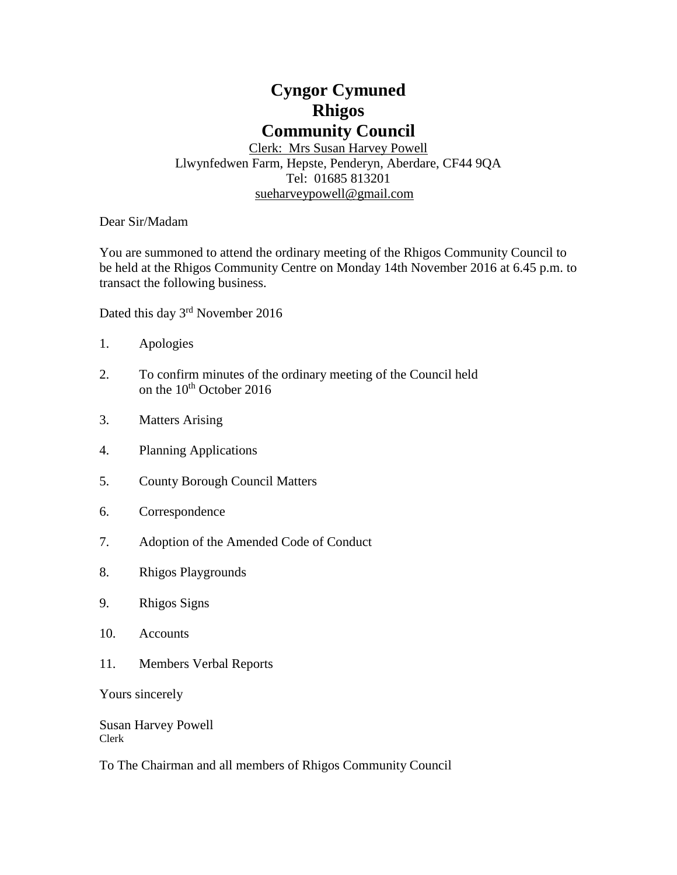# **Cyngor Cymuned Rhigos Community Council**

Clerk: Mrs Susan Harvey Powell Llwynfedwen Farm, Hepste, Penderyn, Aberdare, CF44 9QA Tel: 01685 813201 [sueharveypowell@g](mailto:sharveypowell@comin-infants.co.uk)mail.com

Dear Sir/Madam

You are summoned to attend the ordinary meeting of the Rhigos Community Council to be held at the Rhigos Community Centre on Monday 14th November 2016 at 6.45 p.m. to transact the following business.

Dated this day 3<sup>rd</sup> November 2016

- 1. Apologies
- 2. To confirm minutes of the ordinary meeting of the Council held on the 10<sup>th</sup> October 2016
- 3. Matters Arising
- 4. Planning Applications
- 5. County Borough Council Matters
- 6. Correspondence
- 7. Adoption of the Amended Code of Conduct
- 8. Rhigos Playgrounds
- 9. Rhigos Signs
- 10. Accounts
- 11. Members Verbal Reports

Yours sincerely

Susan Harvey Powell Clerk

To The Chairman and all members of Rhigos Community Council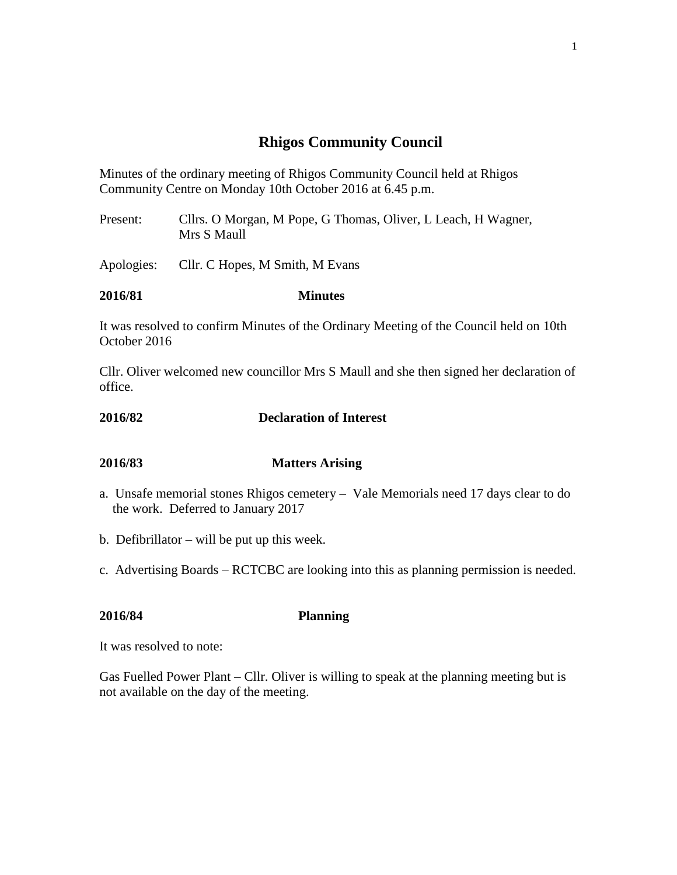# **Rhigos Community Council**

Minutes of the ordinary meeting of Rhigos Community Council held at Rhigos Community Centre on Monday 10th October 2016 at 6.45 p.m.

Present: Cllrs. O Morgan, M Pope, G Thomas, Oliver, L Leach, H Wagner, Mrs S Maull

Apologies: Cllr. C Hopes, M Smith, M Evans

### **2016/81 Minutes**

It was resolved to confirm Minutes of the Ordinary Meeting of the Council held on 10th October 2016

Cllr. Oliver welcomed new councillor Mrs S Maull and she then signed her declaration of office.

### **2016/82 Declaration of Interest**

### **2016/83 Matters Arising**

- a. Unsafe memorial stones Rhigos cemetery Vale Memorials need 17 days clear to do the work. Deferred to January 2017
- b. Defibrillator will be put up this week.
- c. Advertising Boards RCTCBC are looking into this as planning permission is needed.

**2016/84 Planning**

It was resolved to note:

Gas Fuelled Power Plant – Cllr. Oliver is willing to speak at the planning meeting but is not available on the day of the meeting.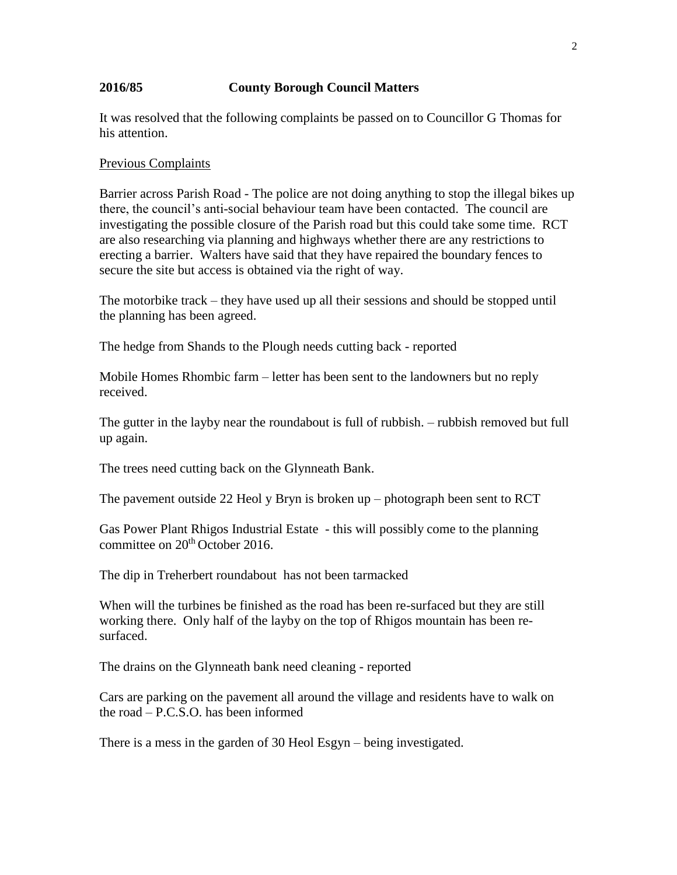### **2016/85 County Borough Council Matters**

It was resolved that the following complaints be passed on to Councillor G Thomas for his attention.

#### Previous Complaints

Barrier across Parish Road - The police are not doing anything to stop the illegal bikes up there, the council's anti-social behaviour team have been contacted. The council are investigating the possible closure of the Parish road but this could take some time. RCT are also researching via planning and highways whether there are any restrictions to erecting a barrier. Walters have said that they have repaired the boundary fences to secure the site but access is obtained via the right of way.

The motorbike track – they have used up all their sessions and should be stopped until the planning has been agreed.

The hedge from Shands to the Plough needs cutting back - reported

Mobile Homes Rhombic farm – letter has been sent to the landowners but no reply received.

The gutter in the layby near the roundabout is full of rubbish. – rubbish removed but full up again.

The trees need cutting back on the Glynneath Bank.

The pavement outside 22 Heol y Bryn is broken up – photograph been sent to RCT

Gas Power Plant Rhigos Industrial Estate - this will possibly come to the planning committee on 20<sup>th</sup> October 2016.

The dip in Treherbert roundabout has not been tarmacked

When will the turbines be finished as the road has been re-surfaced but they are still working there. Only half of the layby on the top of Rhigos mountain has been resurfaced.

The drains on the Glynneath bank need cleaning - reported

Cars are parking on the pavement all around the village and residents have to walk on the road – P.C.S.O. has been informed

There is a mess in the garden of 30 Heol Esgyn – being investigated.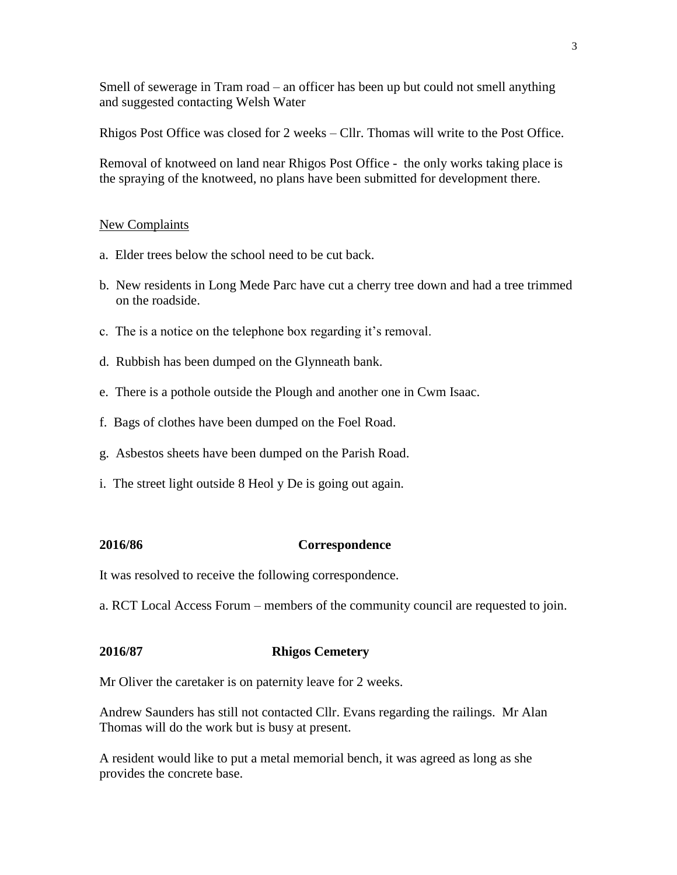Smell of sewerage in Tram road – an officer has been up but could not smell anything and suggested contacting Welsh Water

Rhigos Post Office was closed for 2 weeks – Cllr. Thomas will write to the Post Office.

Removal of knotweed on land near Rhigos Post Office - the only works taking place is the spraying of the knotweed, no plans have been submitted for development there.

#### New Complaints

- a. Elder trees below the school need to be cut back.
- b. New residents in Long Mede Parc have cut a cherry tree down and had a tree trimmed on the roadside.
- c. The is a notice on the telephone box regarding it's removal.
- d. Rubbish has been dumped on the Glynneath bank.
- e. There is a pothole outside the Plough and another one in Cwm Isaac.
- f. Bags of clothes have been dumped on the Foel Road.
- g. Asbestos sheets have been dumped on the Parish Road.
- i. The street light outside 8 Heol y De is going out again.

#### **2016/86 Correspondence**

It was resolved to receive the following correspondence.

a. RCT Local Access Forum – members of the community council are requested to join.

# **2016/87 Rhigos Cemetery**

Mr Oliver the caretaker is on paternity leave for 2 weeks.

Andrew Saunders has still not contacted Cllr. Evans regarding the railings. Mr Alan Thomas will do the work but is busy at present.

A resident would like to put a metal memorial bench, it was agreed as long as she provides the concrete base.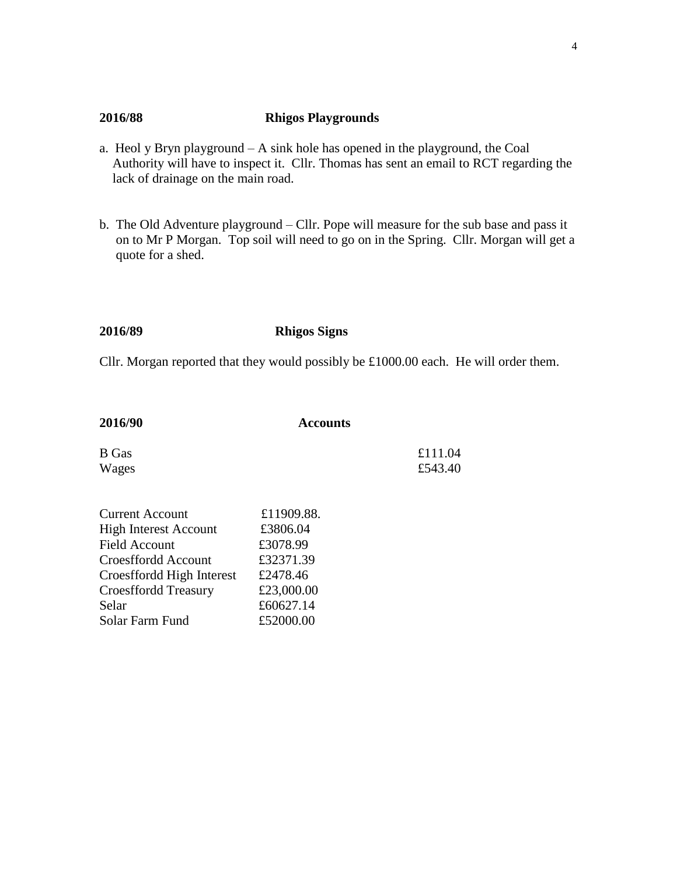## **2016/88 Rhigos Playgrounds**

- a. Heol y Bryn playground A sink hole has opened in the playground, the Coal Authority will have to inspect it. Cllr. Thomas has sent an email to RCT regarding the lack of drainage on the main road.
- b. The Old Adventure playground Cllr. Pope will measure for the sub base and pass it on to Mr P Morgan. Top soil will need to go on in the Spring. Cllr. Morgan will get a quote for a shed.

#### **2016/89 Rhigos Signs**

Cllr. Morgan reported that they would possibly be £1000.00 each. He will order them.

| <b>Accounts</b> |                    |
|-----------------|--------------------|
|                 | £111.04<br>£543.40 |
|                 |                    |

| <b>Current Account</b>       | £11909.88. |
|------------------------------|------------|
| <b>High Interest Account</b> | £3806.04   |
| <b>Field Account</b>         | £3078.99   |
| Croesffordd Account          | £32371.39  |
| Croesffordd High Interest    | £2478.46   |
| <b>Croesffordd Treasury</b>  | £23,000.00 |
| Selar                        | £60627.14  |
| Solar Farm Fund              | £52000.00  |